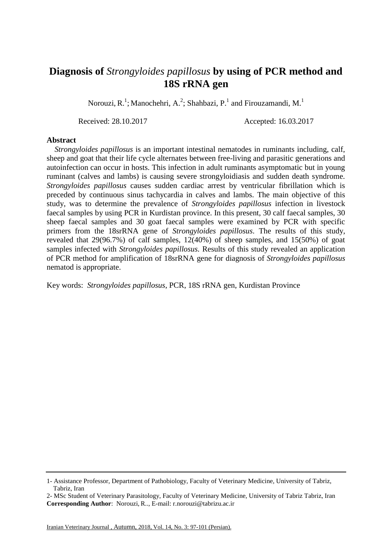## **Diagnosis of** *Strongyloides papillosus* **by using of PCR method and 18S rRNA gen**

Norouzi, R.<sup>1</sup>; Manochehri, A.<sup>2</sup>; Shahbazi, P.<sup>1</sup> and Firouzamandi, M.<sup>1</sup>

Received: 28.10.2017 Accepted: 16.03.2017

## **Abstract**

 *Strongyloides papillosus* is an important intestinal nematodes in ruminants including, calf, sheep and goat that their life cycle alternates between free-living and parasitic generations and autoinfection can occur in hosts. This infection in adult ruminants asymptomatic but in young ruminant (calves and lambs) is causing severe strongyloidiasis and sudden death syndrome. *Strongyloides papillosus* causes sudden cardiac arrest by ventricular fibrillation which is preceded by continuous sinus tachycardia in calves and lambs. The main objective of this study, was to determine the prevalence of *Strongyloides papillosus* infection in [livestock](https://www.google.com/search?biw=1391&bih=690&q=livestock+and+human&spell=1&sa=X&ei=JsSgVeWmMoSAU6fDpzg&ved=0CBkQvwUoAA) faecal samples by using PCR in Kurdistan province. In this present, 30 calf faecal samples, 30 sheep faecal samples and 30 goat faecal samples were examined by PCR with specific primers from the 18srRNA gene of *Strongyloides papillosus*. The results of this study, revealed that 29(96.7%) of calf samples, 12(40%) of sheep samples, and 15(50%) of goat samples infected with *Strongyloides papillosus.* Results of this study revealed an application of PCR method for amplification of 18srRNA gene for diagnosis of *Strongyloides papillosus* nematod is appropriate.

Key words: *Strongyloides papillosus*, PCR, 18S rRNA gen, Kurdistan Province

<sup>1-</sup> Assistance Professor, Department of Pathobiology, Faculty of Veterinary Medicine, University of Tabriz, Tabriz, Iran

<sup>2-</sup> MSc Student of Veterinary Parasitology, Faculty of Veterinary Medicine, University of Tabriz Tabriz, Iran **Corresponding Author**: Norouzi, R.., E-mail: r.norouzi@tabrizu.ac.ir